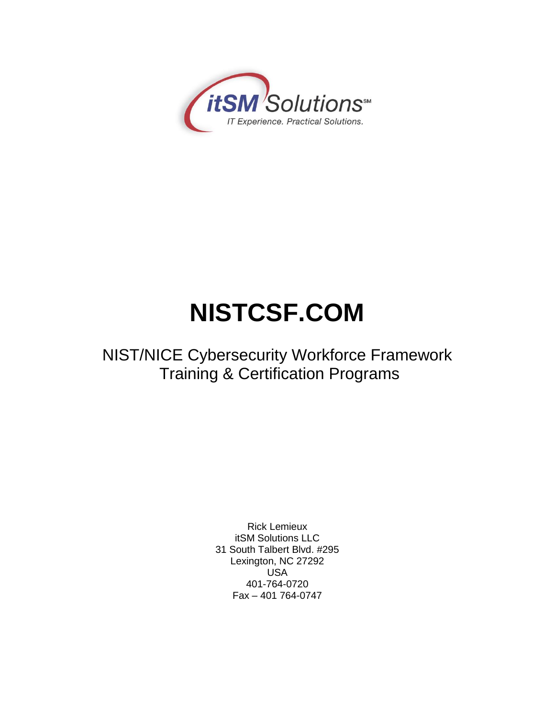

# **NISTCSF.COM**

## NIST/NICE Cybersecurity Workforce Framework Training & Certification Programs

Rick Lemieux itSM Solutions LLC 31 South Talbert Blvd. #295 Lexington, NC 27292 USA 401-764-0720 Fax – 401 764-0747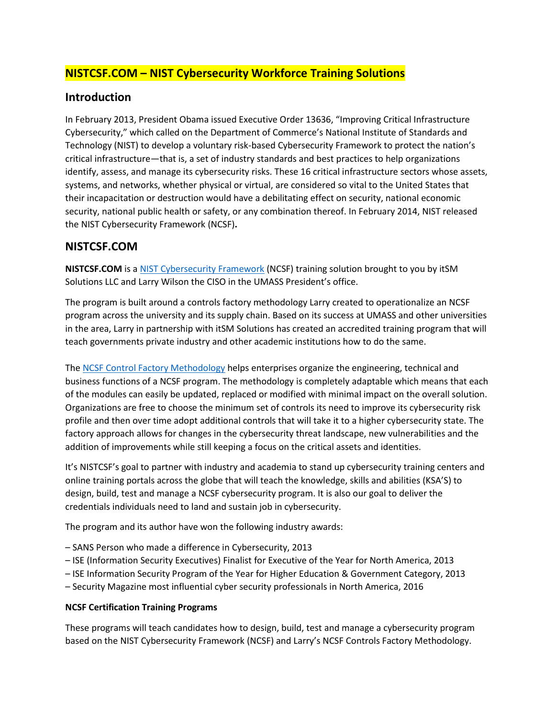### **NISTCSF.COM – NIST Cybersecurity Workforce Training Solutions**

#### **Introduction**

In February 2013, President Obama issued Executive Order 13636, "Improving Critical Infrastructure Cybersecurity," which called on the Department of Commerce's National Institute of Standards and Technology (NIST) to develop a voluntary risk-based Cybersecurity Framework to protect the nation's critical infrastructure—that is, a set of industry standards and best practices to help organizations identify, assess, and manage its cybersecurity risks. These 16 critical infrastructure sectors whose assets, systems, and networks, whether physical or virtual, are considered so vital to the United States that their incapacitation or destruction would have a debilitating effect on security, national economic security, national public health or safety, or any combination thereof. In February 2014, NIST released the NIST Cybersecurity Framework (NCSF)**.** 

#### **NISTCSF.COM**

**NISTCSF.COM** is a [NIST Cybersecurity Framework](https://www.nist.gov/cyberframework) (NCSF) training solution brought to you by itSM Solutions LLC and Larry Wilson the CISO in the UMASS President's office.

The program is built around a controls factory methodology Larry created to operationalize an NCSF program across the university and its supply chain. Based on its success at UMASS and other universities in the area, Larry in partnership with itSM Solutions has created an accredited training program that will teach governments private industry and other academic institutions how to do the same.

The [NCSF Control Factory Methodology](http://nistcsf.com/wp-content/uploads/2017/01/NIST-CSF-bus_case-rev-17-1.pdf) helps enterprises organize the engineering, technical and business functions of a NCSF program. The methodology is completely adaptable which means that each of the modules can easily be updated, replaced or modified with minimal impact on the overall solution. Organizations are free to choose the minimum set of controls its need to improve its cybersecurity risk profile and then over time adopt additional controls that will take it to a higher cybersecurity state. The factory approach allows for changes in the cybersecurity threat landscape, new vulnerabilities and the addition of improvements while still keeping a focus on the critical assets and identities.

It's NISTCSF's goal to partner with industry and academia to stand up cybersecurity training centers and online training portals across the globe that will teach the knowledge, skills and abilities (KSA'S) to design, build, test and manage a NCSF cybersecurity program. It is also our goal to deliver the credentials individuals need to land and sustain job in cybersecurity.

The program and its author have won the following industry awards:

- SANS Person who made a difference in Cybersecurity, 2013
- ISE (Information Security Executives) Finalist for Executive of the Year for North America, 2013
- ISE Information Security Program of the Year for Higher Education & Government Category, 2013
- Security Magazine most influential cyber security professionals in North America, 2016

#### **NCSF Certification Training Programs**

These programs will teach candidates how to design, build, test and manage a cybersecurity program based on the NIST Cybersecurity Framework (NCSF) and Larry's NCSF Controls Factory Methodology.